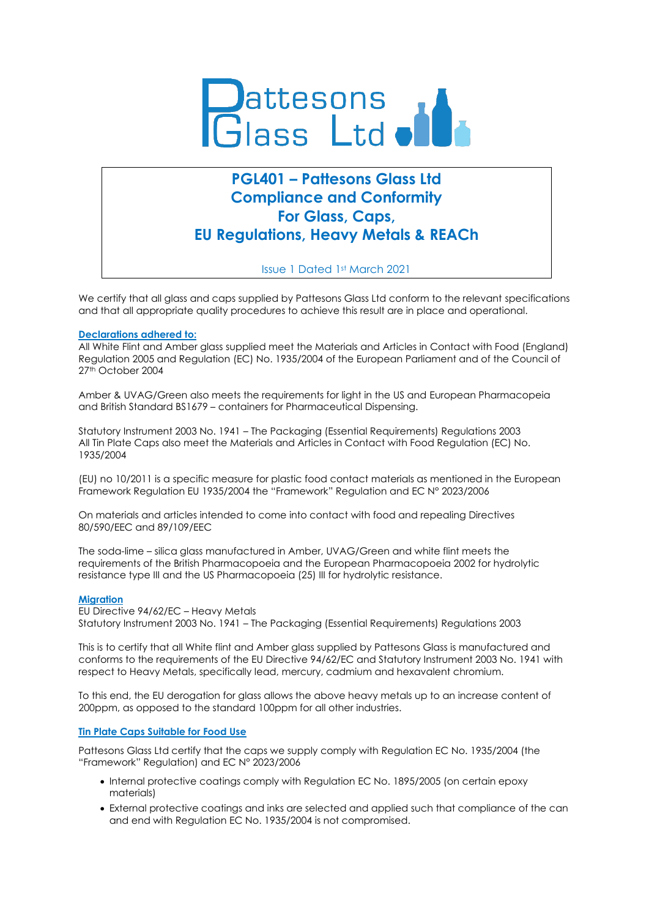

# **PGL401 – Pattesons Glass Ltd Compliance and Conformity For Glass, Caps, EU Regulations, Heavy Metals & REACh**

Issue 1 Dated 1st March 2021

We certify that all glass and caps supplied by Pattesons Glass Ltd conform to the relevant specifications and that all appropriate quality procedures to achieve this result are in place and operational.

### **Declarations adhered to:**

All White Flint and Amber glass supplied meet the Materials and Articles in Contact with Food (England) Regulation 2005 and Regulation (EC) No. 1935/2004 of the European Parliament and of the Council of 27th October 2004

Amber & UVAG/Green also meets the requirements for light in the US and European Pharmacopeia and British Standard BS1679 – containers for Pharmaceutical Dispensing.

Statutory Instrument 2003 No. 1941 – The Packaging (Essential Requirements) Regulations 2003 All Tin Plate Caps also meet the Materials and Articles in Contact with Food Regulation (EC) No. 1935/2004

(EU) no 10/2011 is a specific measure for plastic food contact materials as mentioned in the European Framework Regulation EU 1935/2004 the "Framework" Regulation and EC N° 2023/2006

On materials and articles intended to come into contact with food and repealing Directives 80/590/EEC and 89/109/EEC

The soda-lime – silica glass manufactured in Amber, UVAG/Green and white flint meets the requirements of the British Pharmacopoeia and the European Pharmacopoeia 2002 for hydrolytic resistance type III and the US Pharmacopoeia (25) III for hydrolytic resistance.

## **Migration**

EU Directive 94/62/EC – Heavy Metals Statutory Instrument 2003 No. 1941 – The Packaging (Essential Requirements) Regulations 2003

This is to certify that all White flint and Amber glass supplied by Pattesons Glass is manufactured and conforms to the requirements of the EU Directive 94/62/EC and Statutory Instrument 2003 No. 1941 with respect to Heavy Metals, specifically lead, mercury, cadmium and hexavalent chromium.

To this end, the EU derogation for glass allows the above heavy metals up to an increase content of 200ppm, as opposed to the standard 100ppm for all other industries.

## **Tin Plate Caps Suitable for Food Use**

Pattesons Glass Ltd certify that the caps we supply comply with Regulation EC No. 1935/2004 (the "Framework" Regulation) and EC N° 2023/2006

- Internal protective coatings comply with Regulation EC No. 1895/2005 (on certain epoxy materials)
- External protective coatings and inks are selected and applied such that compliance of the can and end with Regulation EC No. 1935/2004 is not compromised.